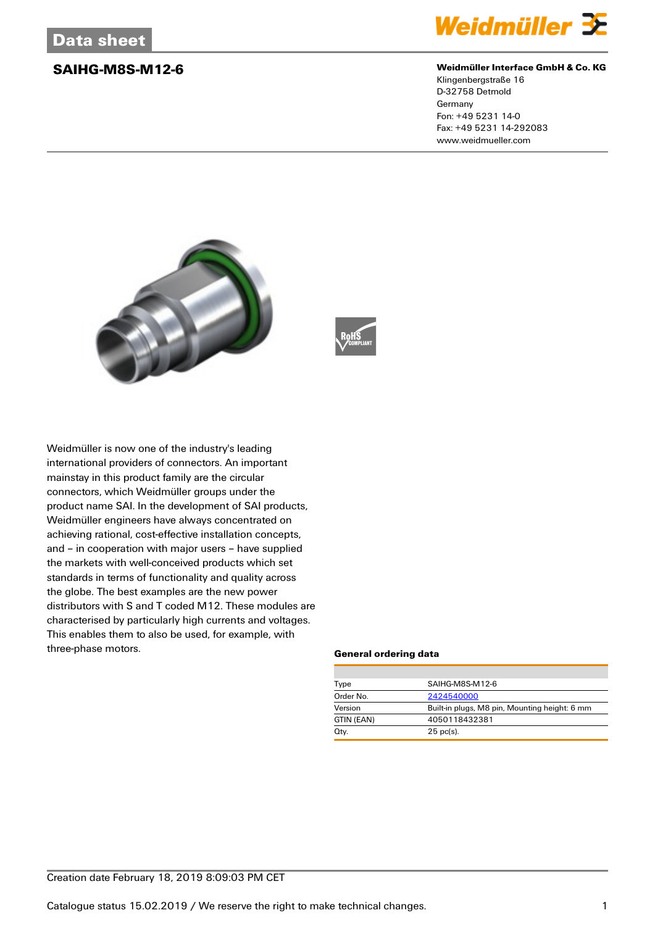

### **SAIHG-M8S-M12-6 Weidmüller Interface GmbH & Co. KG**

Klingenbergstraße 16 D-32758 Detmold Germany Fon: +49 5231 14-0 Fax: +49 5231 14-292083 www.weidmueller.com





Weidmüller is now one of the industry's leading international providers of connectors. An important mainstay in this product family are the circular connectors, which Weidmüller groups under the product name SAI. In the development of SAI products, Weidmüller engineers have always concentrated on achieving rational, cost-effective installation concepts, and – in cooperation with major users – have supplied the markets with well-conceived products which set standards in terms of functionality and quality across the globe. The best examples are the new power distributors with S and T coded M12. These modules are characterised by particularly high currents and voltages. This enables them to also be used, for example, with three-phase motors.

### **General ordering data**

| Type       | SAIHG-M8S-M12-6                               |  |  |
|------------|-----------------------------------------------|--|--|
| Order No.  | 2424540000                                    |  |  |
| Version    | Built-in plugs, M8 pin, Mounting height: 6 mm |  |  |
| GTIN (EAN) | 4050118432381                                 |  |  |
| Qty.       | $25$ pc(s).                                   |  |  |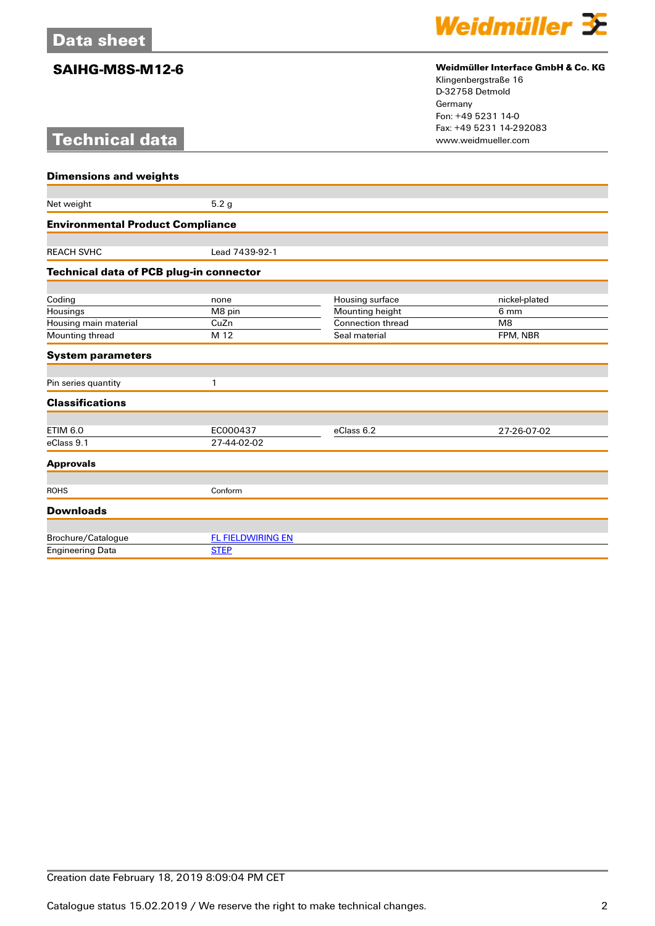# **Technical data**



## **SAIHG-M8S-M12-6 Weidmüller Interface GmbH & Co. KG**

Klingenbergstraße 16 D-32758 Detmold Germany Fon: +49 5231 14-0 Fax: +49 5231 14-292083

| <b>Dimensions and weights</b>           |                          |                   |               |  |
|-----------------------------------------|--------------------------|-------------------|---------------|--|
|                                         |                          |                   |               |  |
| Net weight                              | 5.2 <sub>g</sub>         |                   |               |  |
| <b>Environmental Product Compliance</b> |                          |                   |               |  |
|                                         |                          |                   |               |  |
| <b>REACH SVHC</b>                       | Lead 7439-92-1           |                   |               |  |
| Technical data of PCB plug-in connector |                          |                   |               |  |
|                                         |                          |                   |               |  |
| Coding                                  | none                     | Housing surface   | nickel-plated |  |
| Housings                                | M8 pin                   | Mounting height   | 6 mm          |  |
| Housing main material                   | CuZn                     | Connection thread | M8            |  |
| Mounting thread                         | M 12                     | Seal material     | FPM, NBR      |  |
| <b>System parameters</b>                |                          |                   |               |  |
| Pin series quantity                     | 1                        |                   |               |  |
| <b>Classifications</b>                  |                          |                   |               |  |
| <b>ETIM 6.0</b>                         | EC000437                 | eClass 6.2        | 27-26-07-02   |  |
| eClass 9.1                              | 27-44-02-02              |                   |               |  |
| <b>Approvals</b>                        |                          |                   |               |  |
|                                         |                          |                   |               |  |
| <b>ROHS</b>                             | Conform                  |                   |               |  |
| <b>Downloads</b>                        |                          |                   |               |  |
| Brochure/Catalogue                      | <b>FL FIELDWIRING EN</b> |                   |               |  |
| <b>Engineering Data</b>                 | <b>STEP</b>              |                   |               |  |